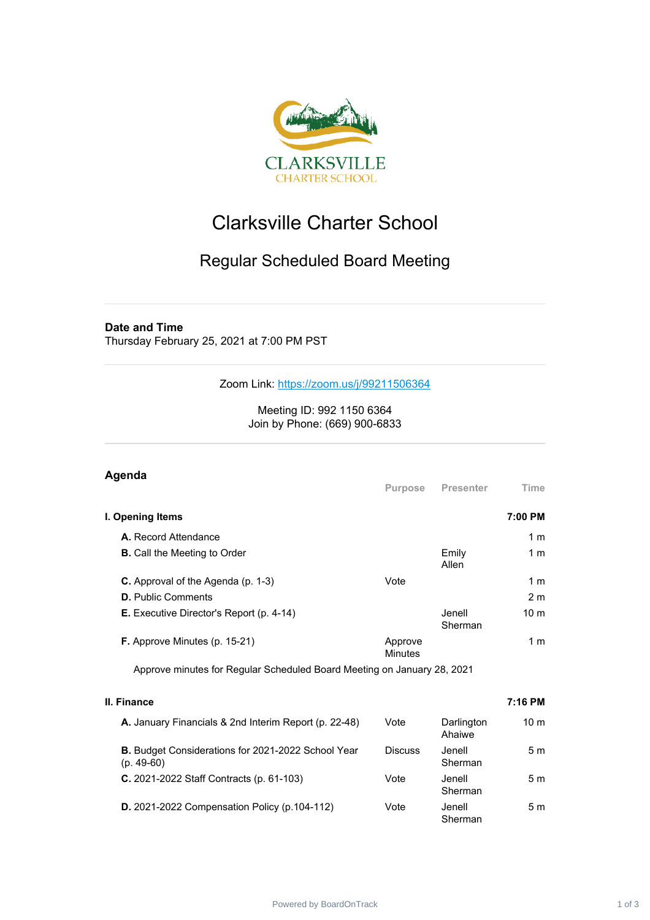

## Clarksville Charter School

## Regular Scheduled Board Meeting

## **Date and Time**

Thursday February 25, 2021 at 7:00 PM PST

Zoom Link: <https://zoom.us/j/99211506364>

Meeting ID: 992 1150 6364 Join by Phone: (669) 900-6833

| Agenda                                                                  | <b>Purpose</b>            | <b>Presenter</b>  | Time            |
|-------------------------------------------------------------------------|---------------------------|-------------------|-----------------|
| I. Opening Items                                                        |                           |                   | 7:00 PM         |
| <b>A.</b> Record Attendance                                             |                           |                   | 1 <sub>m</sub>  |
| <b>B.</b> Call the Meeting to Order                                     |                           | Emily<br>Allen    | 1 m             |
| <b>C.</b> Approval of the Agenda (p. 1-3)                               | Vote                      |                   | 1 <sub>m</sub>  |
| <b>D.</b> Public Comments                                               |                           |                   | 2 <sub>m</sub>  |
| <b>E.</b> Executive Director's Report (p. 4-14)                         |                           | Jenell<br>Sherman | 10 <sub>m</sub> |
| <b>F.</b> Approve Minutes (p. 15-21)                                    | Approve<br><b>Minutes</b> |                   | 1 <sub>m</sub>  |
| Approve minutes for Regular Scheduled Board Meeting on January 28, 2021 |                           |                   |                 |

| II. Finance                                                        |                |                      | 7:16 PM         |
|--------------------------------------------------------------------|----------------|----------------------|-----------------|
| A. January Financials & 2nd Interim Report (p. 22-48)              | Vote           | Darlington<br>Ahaiwe | 10 <sub>m</sub> |
| B. Budget Considerations for 2021-2022 School Year<br>$(p. 49-60)$ | <b>Discuss</b> | Jenell<br>Sherman    | 5 m             |
| C. 2021-2022 Staff Contracts (p. 61-103)                           | Vote           | Jenell.<br>Sherman   | 5m              |
| <b>D.</b> 2021-2022 Compensation Policy (p.104-112)                | Vote           | Jenell<br>Sherman    | 5 m             |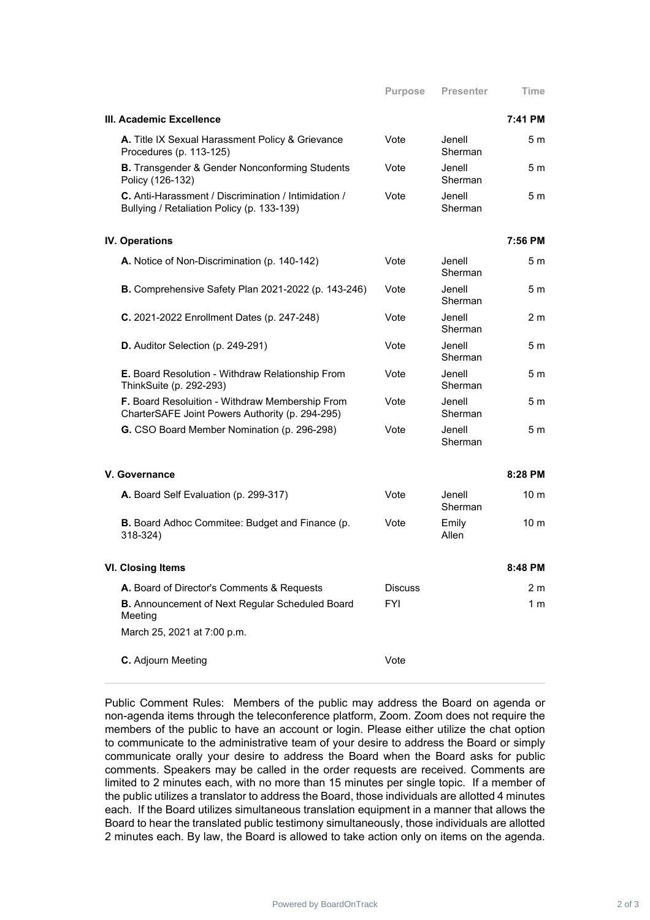| III. Academic Excellence                                                                           |                |                   | 7:41 PM         |
|----------------------------------------------------------------------------------------------------|----------------|-------------------|-----------------|
| A. Title IX Sexual Harassment Policy & Grievance<br>Procedures (p. 113-125)                        | Vote           | Jenell<br>Sherman | 5m              |
| <b>B.</b> Transgender & Gender Nonconforming Students<br>Policy (126-132)                          | Vote           | Jenell<br>Sherman | 5 <sub>m</sub>  |
| C. Anti-Harassment / Discrimination / Intimidation /<br>Bullying / Retaliation Policy (p. 133-139) | Vote           | Jenell<br>Sherman | 5 m             |
| <b>IV. Operations</b>                                                                              |                |                   | 7:56 PM         |
| A. Notice of Non-Discrimination (p. 140-142)                                                       | Vote           | Jenell<br>Sherman | 5m              |
| <b>B.</b> Comprehensive Safety Plan 2021-2022 (p. 143-246)                                         | Vote           | Jenell<br>Sherman | 5 m             |
| C. 2021-2022 Enrollment Dates (p. 247-248)                                                         | Vote           | Jenell<br>Sherman | 2 m             |
| D. Auditor Selection (p. 249-291)                                                                  | Vote           | Jenell<br>Sherman | 5 m             |
| E. Board Resolution - Withdraw Relationship From<br>ThinkSuite (p. 292-293)                        | Vote           | Jenell<br>Sherman | 5 <sub>m</sub>  |
| F. Board Resoluition - Withdraw Membership From<br>CharterSAFE Joint Powers Authority (p. 294-295) | Vote           | Jenell<br>Sherman | 5 m             |
| G. CSO Board Member Nomination (p. 296-298)                                                        | Vote           | Jenell<br>Sherman | 5 m             |
| V. Governance                                                                                      |                |                   | 8:28 PM         |
| A. Board Self Evaluation (p. 299-317)                                                              | Vote           | Jenell<br>Sherman | 10 <sub>m</sub> |
| <b>B.</b> Board Adhoc Commitee: Budget and Finance (p.<br>$318 - 324$                              | Vote           | Emily<br>Allen    | 10 <sub>m</sub> |
| <b>VI. Closing Items</b>                                                                           |                |                   | 8:48 PM         |
| A. Board of Director's Comments & Requests                                                         | <b>Discuss</b> |                   | 2 m             |
| B. Announcement of Next Regular Scheduled Board<br>Meeting                                         | <b>FYI</b>     |                   | 1 <sub>m</sub>  |
| March 25, 2021 at 7:00 p.m.                                                                        |                |                   |                 |
| C. Adjourn Meeting                                                                                 | Vote           |                   |                 |

Public Comment Rules: Members of the public may address the Board on agenda or non-agenda items through the teleconference platform, Zoom. Zoom does not require the members of the public to have an account or login. Please either utilize the chat option to communicate to the administrative team of your desire to address the Board or simply communicate orally your desire to address the Board when the Board asks for public comments. Speakers may be called in the order requests are received. Comments are limited to 2 minutes each, with no more than 15 minutes per single topic. If a member of the public utilizes a translator to address the Board, those individuals are allotted 4 minutes each. If the Board utilizes simultaneous translation equipment in a manner that allows the Board to hear the translated public testimony simultaneously, those individuals are allotted 2 minutes each. By law, the Board is allowed to take action only on items on the agenda.